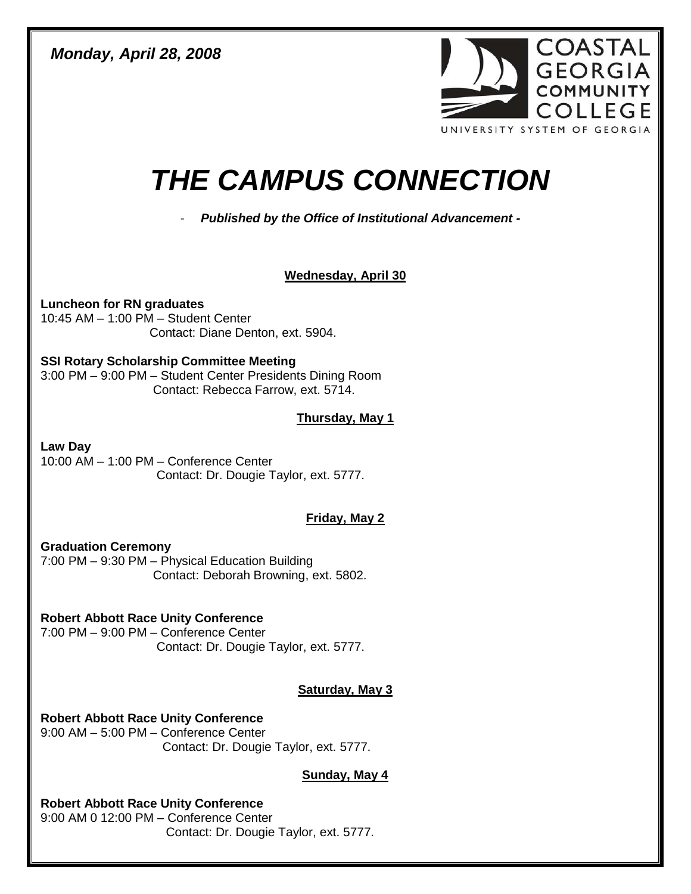*Monday, April 28, 2008* 



# *THE CAMPUS CONNECTION*

- *Published by the Office of Institutional Advancement -*

# **Wednesday, April 30**

**Luncheon for RN graduates** 10:45 AM – 1:00 PM – Student Center Contact: Diane Denton, ext. 5904.

#### **SSI Rotary Scholarship Committee Meeting**

3:00 PM – 9:00 PM – Student Center Presidents Dining Room Contact: Rebecca Farrow, ext. 5714.

# **Thursday, May 1**

**Law Day** 10:00 AM – 1:00 PM – Conference Center Contact: Dr. Dougie Taylor, ext. 5777.

# **Friday, May 2**

**Graduation Ceremony** 7:00 PM – 9:30 PM – Physical Education Building Contact: Deborah Browning, ext. 5802.

# **Robert Abbott Race Unity Conference**

7:00 PM – 9:00 PM – Conference Center Contact: Dr. Dougie Taylor, ext. 5777.

# **Saturday, May 3**

**Robert Abbott Race Unity Conference** 9:00 AM – 5:00 PM – Conference Center Contact: Dr. Dougie Taylor, ext. 5777.

# **Sunday, May 4**

**Robert Abbott Race Unity Conference** 9:00 AM 0 12:00 PM – Conference Center

Contact: Dr. Dougie Taylor, ext. 5777.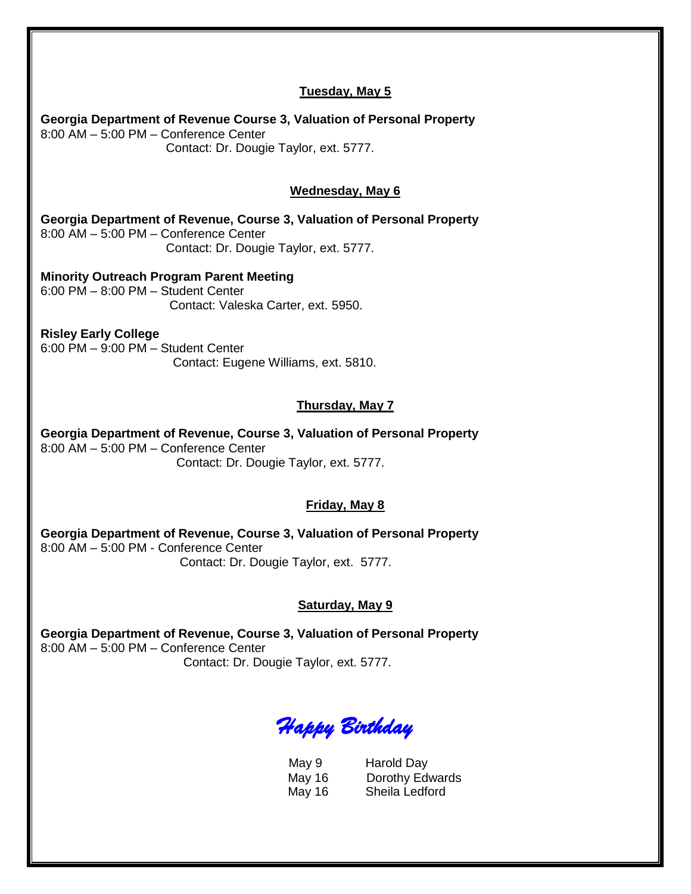# **Tuesday, May 5 Georgia Department of Revenue Course 3, Valuation of Personal Property** 8:00 AM – 5:00 PM – Conference Center Contact: Dr. Dougie Taylor, ext. 5777. **Wednesday, May 6 Georgia Department of Revenue, Course 3, Valuation of Personal Property** 8:00 AM – 5:00 PM – Conference Center Contact: Dr. Dougie Taylor, ext. 5777. **Minority Outreach Program Parent Meeting** 6:00 PM – 8:00 PM – Student Center Contact: Valeska Carter, ext. 5950. **Risley Early College**  6:00 PM – 9:00 PM – Student Center Contact: Eugene Williams, ext. 5810. **Thursday, May 7 Georgia Department of Revenue, Course 3, Valuation of Personal Property** 8:00 AM – 5:00 PM – Conference Center Contact: Dr. Dougie Taylor, ext. 5777. **Friday, May 8 Georgia Department of Revenue, Course 3, Valuation of Personal Property** 8:00 AM – 5:00 PM - Conference Center Contact: Dr. Dougie Taylor, ext. 5777. **Saturday, May 9 Georgia Department of Revenue, Course 3, Valuation of Personal Property** 8:00 AM – 5:00 PM – Conference Center Contact: Dr. Dougie Taylor, ext. 5777.

# *Happy Birthday*

May 9 Harold Day May 16 Dorothy Edwards May 16 Sheila Ledford